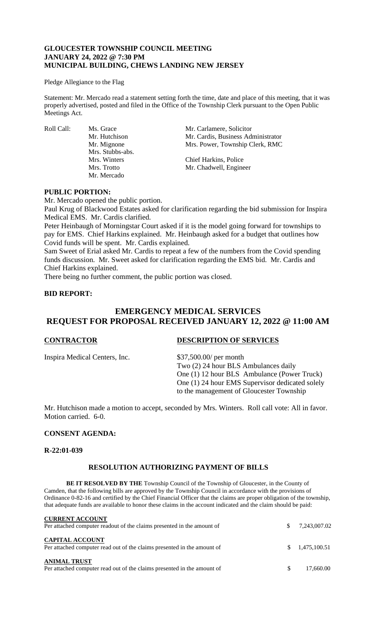# **GLOUCESTER TOWNSHIP COUNCIL MEETING JANUARY 24, 2022 @ 7:30 PM MUNICIPAL BUILDING, CHEWS LANDING NEW JERSEY**

#### Pledge Allegiance to the Flag

Statement: Mr. Mercado read a statement setting forth the time, date and place of this meeting, that it was properly advertised, posted and filed in the Office of the Township Clerk pursuant to the Open Public Meetings Act.

Mrs. Stubbs-abs. Mr. Mercado

Roll Call: Ms. Grace Mr. Carlamere, Solicitor<br>Mr. Hutchison Mr. Cardis. Business Adı Mr. Cardis, Business Administrator Mr. Mignone Mrs. Power, Township Clerk, RMC

> Mrs. Winters Chief Harkins, Police Mrs. Trotto Mr. Chadwell, Engineer

# **PUBLIC PORTION:**

Mr. Mercado opened the public portion.

Paul Krug of Blackwood Estates asked for clarification regarding the bid submission for Inspira Medical EMS. Mr. Cardis clarified.

Peter Heinbaugh of Morningstar Court asked if it is the model going forward for townships to pay for EMS. Chief Harkins explained. Mr. Heinbaugh asked for a budget that outlines how Covid funds will be spent. Mr. Cardis explained.

Sam Sweet of Erial asked Mr. Cardis to repeat a few of the numbers from the Covid spending funds discussion. Mr. Sweet asked for clarification regarding the EMS bid. Mr. Cardis and Chief Harkins explained.

There being no further comment, the public portion was closed.

# **BID REPORT:**

# **EMERGENCY MEDICAL SERVICES REQUEST FOR PROPOSAL RECEIVED JANUARY 12, 2022 @ 11:00 AM**

Inspira Medical Centers, Inc. \$37,500.00/ per month

#### **CONTRACTOR DESCRIPTION OF SERVICES**

Two (2) 24 hour BLS Ambulances daily One (1) 12 hour BLS Ambulance (Power Truck) One (1) 24 hour EMS Supervisor dedicated solely to the management of Gloucester Township

Mr. Hutchison made a motion to accept, seconded by Mrs. Winters. Roll call vote: All in favor. Motion carried. 6-0.

# **CONSENT AGENDA:**

#### **R-22:01-039**

# **RESOLUTION AUTHORIZING PAYMENT OF BILLS**

**BE IT RESOLVED BY THE** Township Council of the Township of Gloucester, in the County of Camden, that the following bills are approved by the Township Council in accordance with the provisions of Ordinance 0-82-16 and certified by the Chief Financial Officer that the claims are proper obligation of the township, that adequate funds are available to honor these claims in the account indicated and the claim should be paid:

| <b>CURRENT ACCOUNT</b><br>Per attached computer readout of the claims presented in the amount of  | S. | 7,243,007.02 |
|---------------------------------------------------------------------------------------------------|----|--------------|
| <b>CAPITAL ACCOUNT</b><br>Per attached computer read out of the claims presented in the amount of | S. | 1.475.100.51 |
| <b>ANIMAL TRUST</b><br>Per attached computer read out of the claims presented in the amount of    | S. | 17,660.00    |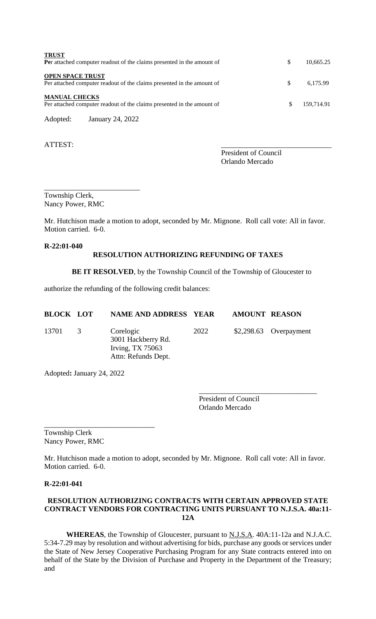| <b>TRUST</b><br>Per attached computer readout of the claims presented in the amount of            | S  | 10.665.25  |
|---------------------------------------------------------------------------------------------------|----|------------|
| <b>OPEN SPACE TRUST</b><br>Per attached computer readout of the claims presented in the amount of | \$ | 6.175.99   |
| <b>MANUAL CHECKS</b><br>Per attached computer readout of the claims presented in the amount of    | S. | 159,714.91 |
| January 24, 2022<br>Adopted:                                                                      |    |            |

ATTEST:

President of Council Orlando Mercado

Township Clerk, Nancy Power, RMC

\_\_\_\_\_\_\_\_\_\_\_\_\_\_\_\_\_\_\_\_\_\_\_\_\_\_

Mr. Hutchison made a motion to adopt, seconded by Mr. Mignone. Roll call vote: All in favor. Motion carried. 6-0.

# **R-22:01-040**

# **RESOLUTION AUTHORIZING REFUNDING OF TAXES**

**BE IT RESOLVED**, by the Township Council of the Township of Gloucester to

authorize the refunding of the following credit balances:

| <b>BLOCK LOT</b> |                | <b>NAME AND ADDRESS YEAR</b>                                                 |      | <b>AMOUNT REASON</b> |                         |
|------------------|----------------|------------------------------------------------------------------------------|------|----------------------|-------------------------|
| 13701            | $\overline{3}$ | Corelogic<br>3001 Hackberry Rd.<br>Irving, $TX$ 75063<br>Attn: Refunds Dept. | 2022 |                      | $$2,298.63$ Overpayment |

Adopted**:** January 24, 2022

\_\_\_\_\_\_\_\_\_\_\_\_\_\_\_\_\_\_\_\_\_\_\_\_\_\_\_\_\_\_

President of Council Orlando Mercado

\_\_\_\_\_\_\_\_\_\_\_\_\_\_\_\_\_\_\_\_\_\_\_\_\_\_\_\_\_\_\_\_

Township Clerk Nancy Power, RMC

Mr. Hutchison made a motion to adopt, seconded by Mr. Mignone. Roll call vote: All in favor. Motion carried. 6-0.

# **R-22:01-041**

# **RESOLUTION AUTHORIZING CONTRACTS WITH CERTAIN APPROVED STATE CONTRACT VENDORS FOR CONTRACTING UNITS PURSUANT TO N.J.S.A. 40a:11- 12A**

WHEREAS, the Township of Gloucester, pursuant to **N.J.S.A.** 40A:11-12a and N.J.A.C. 5:34-7.29 may by resolution and without advertising for bids, purchase any goods or services under the State of New Jersey Cooperative Purchasing Program for any State contracts entered into on behalf of the State by the Division of Purchase and Property in the Department of the Treasury; and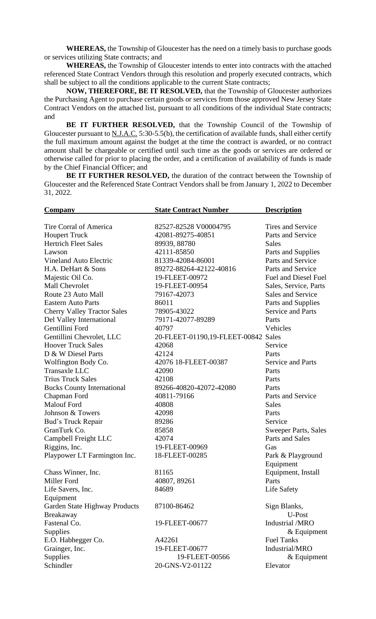**WHEREAS,** the Township of Gloucester has the need on a timely basis to purchase goods or services utilizing State contracts; and

**WHEREAS,** the Township of Gloucester intends to enter into contracts with the attached referenced State Contract Vendors through this resolution and properly executed contracts, which shall be subject to all the conditions applicable to the current State contracts;

**NOW, THEREFORE, BE IT RESOLVED,** that the Township of Gloucester authorizes the Purchasing Agent to purchase certain goods or services from those approved New Jersey State Contract Vendors on the attached list, pursuant to all conditions of the individual State contracts; and

**BE IT FURTHER RESOLVED,** that the Township Council of the Township of Gloucester pursuant to  $N.J.A.C. 5:30-5.5(b)$ , the certification of available funds, shall either certify the full maximum amount against the budget at the time the contract is awarded, or no contract amount shall be chargeable or certified until such time as the goods or services are ordered or otherwise called for prior to placing the order, and a certification of availability of funds is made by the Chief Financial Officer; and

**BE IT FURTHER RESOLVED,** the duration of the contract between the Township of Gloucester and the Referenced State Contract Vendors shall be from January 1, 2022 to December 31, 2022.

| <b>Company</b>                     | <b>State Contract Number</b>        | <b>Description</b>          |
|------------------------------------|-------------------------------------|-----------------------------|
|                                    |                                     |                             |
| Tire Corral of America             | 82527-82528 V00004795               | Tires and Service           |
| <b>Houpert Truck</b>               | 42081-89275-40851                   | Parts and Service           |
| <b>Hertrich Fleet Sales</b>        | 89939, 88780                        | <b>Sales</b>                |
| Lawson                             | 42111-85850                         | Parts and Supplies          |
| <b>Vineland Auto Electric</b>      | 81339-42084-86001                   | Parts and Service           |
| H.A. DeHart & Sons                 | 89272-88264-42122-40816             | Parts and Service           |
| Majestic Oil Co.                   | 19-FLEET-00972                      | Fuel and Diesel Fuel        |
| Mall Chevrolet                     | 19-FLEET-00954                      | Sales, Service, Parts       |
| Route 23 Auto Mall                 | 79167-42073                         | Sales and Service           |
| <b>Eastern Auto Parts</b>          | 86011                               | Parts and Supplies          |
| <b>Cherry Valley Tractor Sales</b> | 78905-43022                         | <b>Service and Parts</b>    |
| Del Valley International           | 79171-42077-89289                   | Parts                       |
| Gentillini Ford                    | 40797                               | Vehicles                    |
| Gentillini Chevrolet, LLC          | 20-FLEET-01190,19-FLEET-00842 Sales |                             |
| <b>Hoover Truck Sales</b>          | 42068                               | Service                     |
| D & W Diesel Parts                 | 42124                               | Parts                       |
| Wolfington Body Co.                | 42076 18-FLEET-00387                | <b>Service and Parts</b>    |
| Transaxle LLC                      | 42090                               | Parts                       |
| <b>Trius Truck Sales</b>           | 42108                               | Parts                       |
| <b>Bucks County International</b>  | 89266-40820-42072-42080             | Parts                       |
| Chapman Ford                       | 40811-79166                         | Parts and Service           |
| <b>Malouf Ford</b>                 | 40808                               | <b>Sales</b>                |
| Johnson & Towers                   | 42098                               | Parts                       |
| Bud's Truck Repair                 | 89286                               | Service                     |
| GranTurk Co.                       | 85858                               | <b>Sweeper Parts, Sales</b> |
| Campbell Freight LLC               | 42074                               | Parts and Sales             |
| Riggins, Inc.                      | 19-FLEET-00969                      | Gas                         |
| Playpower LT Farmington Inc.       | 18-FLEET-00285                      | Park & Playground           |
|                                    |                                     | Equipment                   |
| Chass Winner, Inc.                 | 81165                               | Equipment, Install          |
| Miller Ford                        | 40807, 89261                        | Parts                       |
| Life Savers, Inc.                  | 84689                               | Life Safety                 |
| Equipment                          |                                     |                             |
| Garden State Highway Products      | 87100-86462                         | Sign Blanks,                |
| Breakaway                          |                                     | U-Post                      |
| Fastenal Co.                       | 19-FLEET-00677                      | Industrial /MRO             |
| Supplies                           |                                     | $&$ Equipment               |
| E.O. Habhegger Co.                 | A42261                              | <b>Fuel Tanks</b>           |
| Grainger, Inc.                     | 19-FLEET-00677                      | Industrial/MRO              |
| Supplies                           | 19-FLEET-00566                      | $&$ Equipment               |
| Schindler                          | 20-GNS-V2-01122                     | Elevator                    |
|                                    |                                     |                             |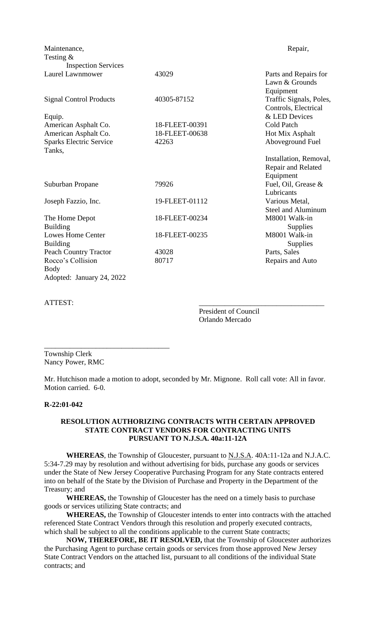| Maintenance,                                           |                | Repair,                                                   |
|--------------------------------------------------------|----------------|-----------------------------------------------------------|
| Testing $\&$                                           |                |                                                           |
| <b>Inspection Services</b>                             |                |                                                           |
| Laurel Lawnmower                                       | 43029          | Parts and Repairs for<br>Lawn & Grounds<br>Equipment      |
| <b>Signal Control Products</b>                         | 40305-87152    | Traffic Signals, Poles,<br>Controls, Electrical           |
| Equip.                                                 |                | & LED Devices                                             |
| American Asphalt Co.                                   | 18-FLEET-00391 | <b>Cold Patch</b>                                         |
| American Asphalt Co.                                   | 18-FLEET-00638 | Hot Mix Asphalt                                           |
| <b>Sparks Electric Service</b><br>Tanks,               | 42263          | Aboveground Fuel                                          |
|                                                        |                | Installation, Removal,<br>Repair and Related<br>Equipment |
| Suburban Propane                                       | 79926          | Fuel, Oil, Grease &<br>Lubricants                         |
| Joseph Fazzio, Inc.                                    | 19-FLEET-01112 | Various Metal,<br><b>Steel and Aluminum</b>               |
| The Home Depot<br><b>Building</b>                      | 18-FLEET-00234 | M8001 Walk-in<br>Supplies                                 |
| <b>Lowes Home Center</b><br><b>Building</b>            | 18-FLEET-00235 | M8001 Walk-in<br>Supplies                                 |
| <b>Peach Country Tractor</b>                           | 43028          | Parts, Sales                                              |
| Rocco's Collision<br>Body<br>Adopted: January 24, 2022 | 80717          | Repairs and Auto                                          |
|                                                        |                |                                                           |

ATTEST:

President of Council Orlando Mercado

Township Clerk Nancy Power, RMC

\_\_\_\_\_\_\_\_\_\_\_\_\_\_\_\_\_\_\_\_\_\_\_\_\_\_\_\_\_\_\_\_\_\_

Mr. Hutchison made a motion to adopt, seconded by Mr. Mignone. Roll call vote: All in favor. Motion carried. 6-0.

#### **R-22:01-042**

### **RESOLUTION AUTHORIZING CONTRACTS WITH CERTAIN APPROVED STATE CONTRACT VENDORS FOR CONTRACTING UNITS PURSUANT TO N.J.S.A. 40a:11-12A**

**WHEREAS**, the Township of Gloucester, pursuant to N.J.S.A. 40A:11-12a and N.J.A.C. 5:34-7.29 may by resolution and without advertising for bids, purchase any goods or services under the State of New Jersey Cooperative Purchasing Program for any State contracts entered into on behalf of the State by the Division of Purchase and Property in the Department of the Treasury; and

**WHEREAS,** the Township of Gloucester has the need on a timely basis to purchase goods or services utilizing State contracts; and

**WHEREAS,** the Township of Gloucester intends to enter into contracts with the attached referenced State Contract Vendors through this resolution and properly executed contracts, which shall be subject to all the conditions applicable to the current State contracts;

**NOW, THEREFORE, BE IT RESOLVED,** that the Township of Gloucester authorizes the Purchasing Agent to purchase certain goods or services from those approved New Jersey State Contract Vendors on the attached list, pursuant to all conditions of the individual State contracts; and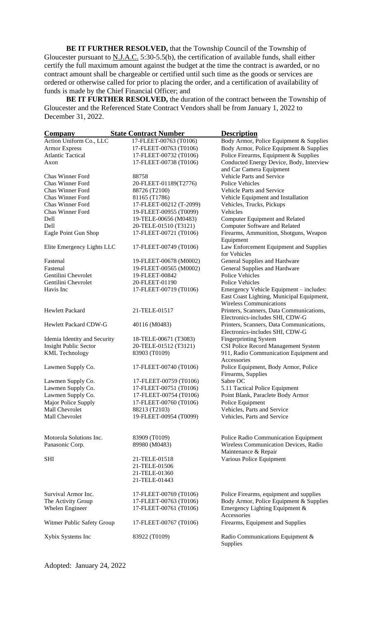**BE IT FURTHER RESOLVED,** that the Township Council of the Township of Gloucester pursuant to  $N.I.A.C.$  5:30-5.5(b), the certification of available funds, shall either certify the full maximum amount against the budget at the time the contract is awarded, or no contract amount shall be chargeable or certified until such time as the goods or services are ordered or otherwise called for prior to placing the order, and a certification of availability of funds is made by the Chief Financial Officer; and

**BE IT FURTHER RESOLVED,** the duration of the contract between the Township of Gloucester and the Referenced State Contract Vendors shall be from January 1, 2022 to December 31, 2022.

| Company                      | <b>State Contract Number</b> | <b>Description</b>                                     |
|------------------------------|------------------------------|--------------------------------------------------------|
| Action Uniform Co., LLC      | 17-FLEET-00763 (T0106)       | Body Armor, Police Equipment & Supplies                |
| <b>Armor Express</b>         | 17-FLEET-00763 (T0106)       | Body Armor, Police Equipment & Supplies                |
| <b>Atlantic Tactical</b>     | 17-FLEET-00732 (T0106)       | Police Firearms, Equipment & Supplies                  |
| Axon                         | 17-FLEET-00738 (T0106)       | Conducted Energy Device, Body, Interview               |
|                              |                              | and Car Camera Equipment                               |
| Chas Winner Ford             | 88758                        | Vehicle Parts and Service                              |
| <b>Chas Winner Ford</b>      | 20-FLEET-01189(T2776)        | <b>Police Vehicles</b>                                 |
| <b>Chas Winner Ford</b>      | 88726 (T2100)                | Vehicle Parts and Service                              |
| Chas Winner Ford             |                              |                                                        |
|                              | 81165 (T1786)                | Vehicle Equipment and Installation                     |
| <b>Chas Winner Ford</b>      | 17-FLEET-00212 (T-2099)      | Vehicles, Trucks, Pickups                              |
| Chas Winner Ford             | 19-FLEET-00955 (T0099)       | Vehicles                                               |
| Dell                         | 19-TELE-00656 (M0483)        | <b>Computer Equipment and Related</b>                  |
| Dell                         | 20-TELE-01510 (T3121)        | <b>Computer Software and Related</b>                   |
| Eagle Point Gun Shop         | 17-FLEET-00721 (T0106)       | Firearms, Ammunition, Shotguns, Weapon                 |
|                              |                              | Equipment                                              |
| Elite Emergency Lights LLC   | 17-FLEET-00749 (T0106)       | Law Enforcement Equipment and Supplies<br>for Vehicles |
| Fastenal                     | 19-FLEET-00678 (M0002)       | General Supplies and Hardware                          |
| Fastenal                     | 19-FLEET-00565 (M0002)       | General Supplies and Hardware                          |
| Gentilini Chevrolet          | 19-FLEET-00842               | <b>Police Vehicles</b>                                 |
| Gentilini Chevrolet          | 20-FLEET-01190               | <b>Police Vehicles</b>                                 |
| Havis Inc                    | 17-FLEET-00719 (T0106)       | Emergency Vehicle Equipment – includes:                |
|                              |                              | East Coast Lighting, Municipal Equipment,              |
|                              |                              | <b>Wireless Communications</b>                         |
| <b>Hewlett Packard</b>       | 21-TELE-01517                | Printers, Scanners, Data Communications,               |
|                              |                              | Electronics-includes SHI, CDW-G                        |
| <b>Hewlett Packard CDW-G</b> | 40116 (M0483)                | Printers, Scanners, Data Communications,               |
|                              |                              | Electronics-includes SHI, CDW-G                        |
| Idemia Identity and Security | 18-TELE-00671 (T3083)        | <b>Fingerprinting System</b>                           |
| <b>Insight Public Sector</b> | 20-TELE-01512 (T3121)        | CSI Police Record Management System                    |
| <b>KML</b> Technology        | 83903 (T0109)                | 911, Radio Communication Equipment and                 |
|                              |                              | Accessories                                            |
|                              | 17-FLEET-00740 (T0106)       |                                                        |
| Lawmen Supply Co.            |                              | Police Equipment, Body Armor, Police                   |
|                              |                              | Firearms, Supplies                                     |
| Lawmen Supply Co.            | 17-FLEET-00759 (T0106)       | Sabre OC                                               |
| Lawmen Supply Co.            | 17-FLEET-00751 (T0106)       | 5.11 Tactical Police Equipment                         |
| Lawmen Supply Co.            | 17-FLEET-00754 (T0106)       | Point Blank, Paraclete Body Armor                      |
| Major Police Supply          | 17-FLEET-00760 (T0106)       | Police Equipment                                       |
| Mall Chevrolet               | 88213 (T2103)                | Vehicles, Parts and Service                            |
| Mall Chevrolet               | 19-FLEET-00954 (T0099)       | Vehicles, Parts and Service                            |
|                              |                              |                                                        |
| Motorola Solutions Inc.      | 83909 (T0109)                | Police Radio Communication Equipment                   |
| Panasonic Corp.              | 89980 (M0483)                | Wireless Communication Devices, Radio                  |
|                              |                              | Maintenance & Repair                                   |
| <b>SHI</b>                   | 21-TELE-01518                | Various Police Equipment                               |
|                              |                              |                                                        |
|                              | 21-TELE-01506                |                                                        |
|                              | 21-TELE-01360                |                                                        |
|                              | 21-TELE-01443                |                                                        |
|                              |                              |                                                        |
| Survival Armor Inc.          | 17-FLEET-00769 (T0106)       | Police Firearms, equipment and supplies                |
| The Activity Group           | 17-FLEET-00763 (T0106)       | Body Armor, Police Equipment & Supplies                |
| Whelen Engineer              | 17-FLEET-00761 (T0106)       | Emergency Lighting Equipment &                         |
|                              |                              | Accessories                                            |
| Witmer Public Safety Group   | 17-FLEET-00767 (T0106)       | Firearms, Equipment and Supplies                       |
| Xybix Systems Inc            | 83922 (T0109)                | Radio Communications Equipment &                       |
|                              |                              | Supplies                                               |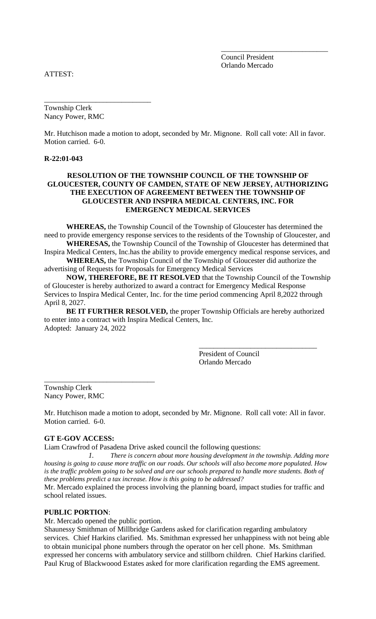Council President Orlando Mercado

\_\_\_\_\_\_\_\_\_\_\_\_\_\_\_\_\_\_\_\_\_\_\_\_\_\_\_\_\_

ATTEST:

Township Clerk Nancy Power, RMC

\_\_\_\_\_\_\_\_\_\_\_\_\_\_\_\_\_\_\_\_\_\_\_\_\_\_\_\_\_

Mr. Hutchison made a motion to adopt, seconded by Mr. Mignone. Roll call vote: All in favor. Motion carried. 6-0.

#### **R-22:01-043**

# **RESOLUTION OF THE TOWNSHIP COUNCIL OF THE TOWNSHIP OF GLOUCESTER, COUNTY OF CAMDEN, STATE OF NEW JERSEY, AUTHORIZING THE EXECUTION OF AGREEMENT BETWEEN THE TOWNSHIP OF GLOUCESTER AND INSPIRA MEDICAL CENTERS, INC. FOR EMERGENCY MEDICAL SERVICES**

**WHEREAS,** the Township Council of the Township of Gloucester has determined the need to provide emergency response services to the residents of the Township of Gloucester, and **WHERESAS,** the Township Council of the Township of Gloucester has determined that

Inspira Medical Centers, Inc.has the ability to provide emergency medical response services, and **WHEREAS,** the Township Council of the Township of Gloucester did authorize the

advertising of Requests for Proposals for Emergency Medical Services

**NOW, THEREFORE, BE IT RESOLVED** that the Township Council of the Township of Gloucester is hereby authorized to award a contract for Emergency Medical Response Services to Inspira Medical Center, Inc. for the time period commencing April 8,2022 through April 8, 2027.

**BE IT FURTHER RESOLVED,** the proper Township Officials are hereby authorized to enter into a contract with Inspira Medical Centers, Inc. Adopted: January 24, 2022

> President of Council Orlando Mercado

\_\_\_\_\_\_\_\_\_\_\_\_\_\_\_\_\_\_\_\_\_\_\_\_\_\_\_\_\_\_\_\_

Township Clerk Nancy Power, RMC

\_\_\_\_\_\_\_\_\_\_\_\_\_\_\_\_\_\_\_\_\_\_\_\_\_\_\_\_\_\_

Mr. Hutchison made a motion to adopt, seconded by Mr. Mignone. Roll call vote: All in favor. Motion carried. 6-0.

# **GT E-GOV ACCESS:**

Liam Crawfrod of Pasadena Drive asked council the following questions:

*1. There is concern about more housing development in the township. Adding more housing is going to cause more traffic on our roads. Our schools will also become more populated. How is the traffic problem going to be solved and are our schools prepared to handle more students. Both of these problems predict a tax increase. How is this going to be addressed?*

Mr. Mercado explained the process involving the planning board, impact studies for traffic and school related issues.

### **PUBLIC PORTION**:

Mr. Mercado opened the public portion.

Shaunessy Smithman of Millbridge Gardens asked for clarification regarding ambulatory services. Chief Harkins clarified. Ms. Smithman expressed her unhappiness with not being able to obtain municipal phone numbers through the operator on her cell phone. Ms. Smithman expressed her concerns with ambulatory service and stillborn children. Chief Harkins clarified. Paul Krug of Blackwoood Estates asked for more clarification regarding the EMS agreement.